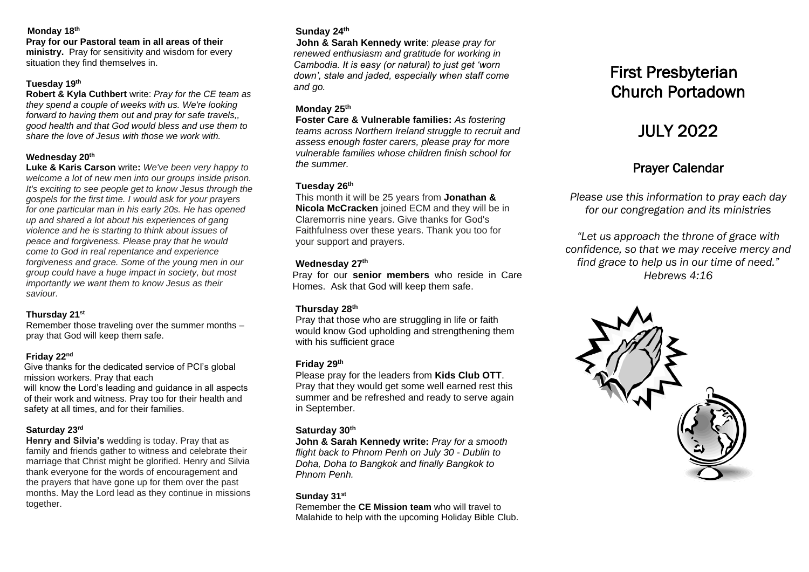#### **Monday 18 th**

#### **Pray for our Pastoral team in all areas of their**

**ministry.** Pray for sensitivity and wisdom for every situation they find themselves in.

#### **Tuesday 19th**

**Robert & Kyla Cuthbert** write: *Pray for the CE team as they spend a couple of weeks with us. We're looking forward to having them out and pray for safe travels,, good health and that God would bless and use them to share the love of Jesus with those we work with.*

### **Wednesday 20 th**

**Luke & Karis Carson** write**:** *We've been very happy to welcome a lot of new men into our groups inside prison. It's exciting to see people get to know Jesus through the gospels for the first time. I would ask for your prayers for one particular man in his early 20s. He has opened up and shared a lot about his experiences of gang violence and he is starting to think about issues of peace and forgiveness. Please pray that he would come to God in real repentance and experience forgiveness and grace. Some of the young men in our group could have a huge impact in society, but most importantly we want them to know Jesus as their saviour.*

#### **Thursday 21 st**

Remember those traveling over the summer months – pray that God will keep them safe.

### **Friday 22 nd**

Give thanks for the dedicated service of PCI's global mission workers. Pray that each will know the Lord's leading and guidance in all aspects of their work and witness. Pray too for their health and safety at all times, and for their families.

### **Saturday 23 rd**

**Henry and Silvia's** wedding is today. Pray that as family and friends gather to witness and celebrate their marriage that Christ might be glorified. Henry and Silvia thank everyone for the words of encouragement and the prayers that have gone up for them over the past months. May the Lord lead as they continue in missions together.

### **Sunday 24 th**

**John & Sarah Kennedy write**: *please pray for renewed enthusiasm and gratitude for working in Cambodia. It is easy (or natural) to just get 'worn down', stale and jaded, especially when staff come and go.*

### **Monday 25 th**

**Foster Care & Vulnerable families:** *As fostering teams across Northern Ireland struggle to recruit and assess enough foster carers, please pray for more vulnerable families whose children finish school for the summer.*

### **Tuesday 26 th**

This month it will be 25 years from **Jonathan & Nicola McCracken** joined ECM and they will be in Claremorris nine years. Give thanks for God's Faithfulness over these years. Thank you too for your support and prayers.

## **Wednesday 27 th**

Pray for our **senior members** who reside in Care Homes. Ask that God will keep them safe.

## **Thursday 28 th**

Pray that those who are struggling in life or faith would know God upholding and strengthening them with his sufficient grace

## **Friday 29th**

Please pray for the leaders from **Kids Club OTT**. Pray that they would get some well earned rest this summer and be refreshed and ready to serve again in September.

### **Saturday 30 th**

**John & Sarah Kennedy write:** *Pray for a smooth flight back to Phnom Penh on July 30 - Dublin to Doha, Doha to Bangkok and finally Bangkok to Phnom Penh.* 

#### **Sunday 31st**

Remember the **CE Mission team** who will travel to Malahide to help with the upcoming Holiday Bible Club.

# First Presbyterian Church Portadown

# JULY 2022

# Prayer Calendar

*Please use this information to pray each day for our congregation and its ministries* 

*"Let us approach the throne of grace with confidence, so that we may receive mercy and find grace to help us in our time of need." Hebrews 4:16*